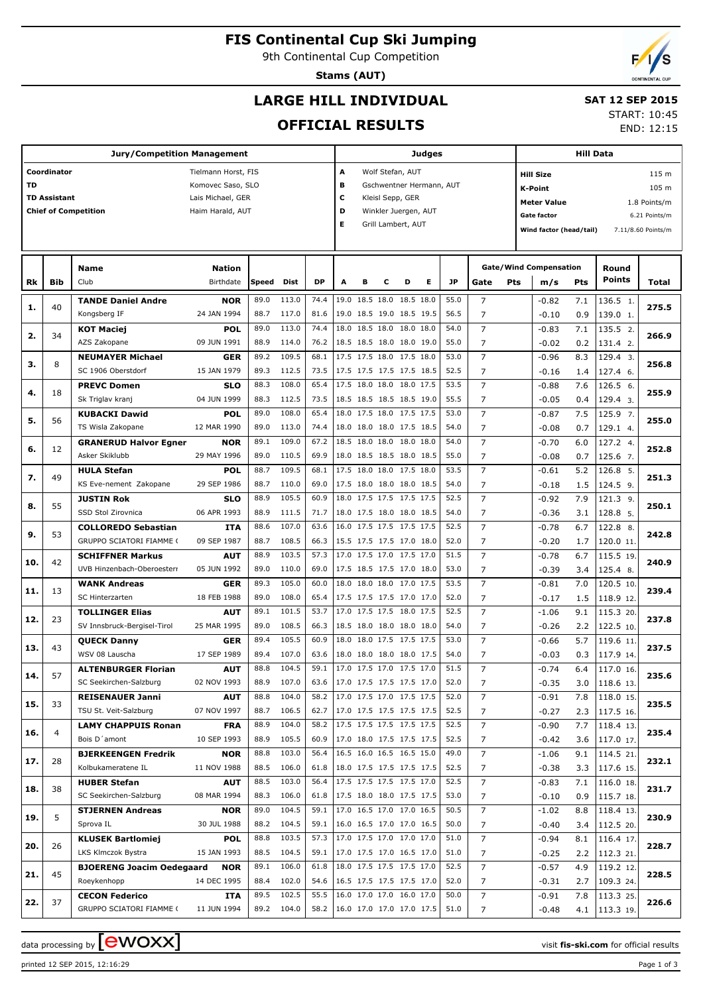## **FIS Continental Cup Ski Jumping**

9th Continental Cup Competition

**Stams (AUT)**

# **LARGE HILL INDIVIDUAL**

#### **SAT 12 SEP 2015** START: 10:45

**OFFICIAL RESULTS**

|           |                     | <b>Jury/Competition Management</b>            |                     |              |                |              |                          |                                     |                      |   | Judges |      |                     |                                               | Hill Data                     |              |                   |               |  |  |  |  |  |
|-----------|---------------------|-----------------------------------------------|---------------------|--------------|----------------|--------------|--------------------------|-------------------------------------|----------------------|---|--------|------|---------------------|-----------------------------------------------|-------------------------------|--------------|-------------------|---------------|--|--|--|--|--|
|           | Coordinator         |                                               | Tielmann Horst, FIS |              |                |              | А                        |                                     | Wolf Stefan, AUT     |   |        |      |                     | 115 m<br><b>Hill Size</b>                     |                               |              |                   |               |  |  |  |  |  |
| <b>TD</b> |                     |                                               | Komovec Saso, SLO   |              |                |              | в                        | Gschwentner Hermann, AUT<br>K-Point |                      |   |        |      |                     |                                               |                               |              |                   | 105 m         |  |  |  |  |  |
|           | <b>TD Assistant</b> |                                               | Lais Michael, GER   |              |                |              | c<br>Kleisl Sepp, GER    |                                     |                      |   |        |      |                     |                                               |                               | 1.8 Points/m |                   |               |  |  |  |  |  |
|           |                     | <b>Chief of Competition</b>                   | Haim Harald, AUT    |              |                |              | D                        |                                     | Winkler Juergen, AUT |   |        |      |                     |                                               | <b>Meter Value</b>            |              |                   |               |  |  |  |  |  |
|           |                     |                                               |                     |              |                |              | Е                        |                                     | Grill Lambert, AUT   |   |        |      |                     |                                               | <b>Gate factor</b>            |              |                   | 6.21 Points/m |  |  |  |  |  |
|           |                     |                                               |                     |              |                |              |                          |                                     |                      |   |        |      |                     | Wind factor (head/tail)<br>7.11/8.60 Points/m |                               |              |                   |               |  |  |  |  |  |
|           |                     |                                               |                     |              |                |              |                          |                                     |                      |   |        |      |                     |                                               |                               |              |                   |               |  |  |  |  |  |
|           |                     | <b>Name</b>                                   | <b>Nation</b>       |              |                |              |                          |                                     |                      |   |        |      |                     |                                               | <b>Gate/Wind Compensation</b> |              | Round             |               |  |  |  |  |  |
|           | <b>Bib</b>          | Club                                          | Birthdate           | Speed        | Dist           | <b>DP</b>    | A                        | в                                   | c                    | D | Е      | JP   |                     | Pts                                           |                               | Pts          | Points            |               |  |  |  |  |  |
| Rk        |                     |                                               |                     |              |                |              |                          |                                     |                      |   |        |      | Gate                |                                               | m/s                           |              |                   | Total         |  |  |  |  |  |
| 1.        | 40                  | <b>TANDE Daniel Andre</b>                     | <b>NOR</b>          | 89.0         | 113.0          | 74.4         | 19.0 18.5 18.0 18.5 18.0 |                                     |                      |   |        | 55.0 | $\overline{7}$      |                                               | $-0.82$                       | 7.1          | 136.5 1.          | 275.5         |  |  |  |  |  |
|           |                     | Kongsberg IF                                  | 24 JAN 1994         | 88.7         | 117.0          | 81.6         | 19.0 18.5 19.0 18.5 19.5 |                                     |                      |   |        | 56.5 | 7                   |                                               | $-0.10$                       | 0.9          | 139.0 1.          |               |  |  |  |  |  |
| 2.        | 34                  | <b>KOT Maciej</b>                             | <b>POL</b>          | 89.0         | 113.0          | 74.4         | 18.0 18.5 18.0 18.0 18.0 |                                     |                      |   |        | 54.0 | $\overline{7}$      |                                               | $-0.83$                       | 7.1          | 135.5 2.          | 266.9         |  |  |  |  |  |
|           |                     | AZS Zakopane                                  | 09 JUN 1991         | 88.9         | 114.0          | 76.2         | 18.5 18.5 18.0 18.0 19.0 |                                     |                      |   |        | 55.0 | 7                   |                                               | $-0.02$                       | 0.2          | 131.4 2.          |               |  |  |  |  |  |
| з.        | 8                   | <b>NEUMAYER Michael</b>                       | <b>GER</b>          | 89.2         | 109.5          | 68.1         | 17.5 17.5 18.0 17.5 18.0 |                                     |                      |   |        | 53.0 | $\overline{7}$      |                                               | $-0.96$                       | 8.3          | 129.4 3.          | 256.8         |  |  |  |  |  |
|           |                     | SC 1906 Oberstdorf                            | 15 JAN 1979         | 89.3         | 112.5          | 73.5         | 17.5 17.5 17.5 17.5 18.5 |                                     |                      |   |        | 52.5 | 7                   |                                               | $-0.16$                       | 1.4          | 127.4 6.          |               |  |  |  |  |  |
| 4.        | 18                  | <b>PREVC Domen</b>                            | <b>SLO</b>          | 88.3         | 108.0          | 65.4         | 17.5 18.0 18.0 18.0 17.5 |                                     |                      |   |        | 53.5 | $\overline{7}$      |                                               | $-0.88$                       | 7.6          | 126.5 6.          | 255.9         |  |  |  |  |  |
|           |                     | Sk Triglav kranj                              | 04 JUN 1999         | 88.3         | 112.5          | 73.5         | 18.5 18.5 18.5 18.5 19.0 |                                     |                      |   |        | 55.5 | 7                   |                                               | $-0.05$                       | 0.4          | 129.4 3.          |               |  |  |  |  |  |
| 5.        | 56                  | <b>KUBACKI Dawid</b>                          | <b>POL</b>          | 89.0         | 108.0          | 65.4         | 18.0 17.5 18.0 17.5 17.5 |                                     |                      |   |        | 53.0 | $\overline{7}$      |                                               | $-0.87$                       | 7.5          | 125.9 7.          | 255.0         |  |  |  |  |  |
|           |                     | TS Wisla Zakopane                             | 12 MAR 1990         | 89.0         | 113.0          | 74.4         | 18.0 18.0 18.0 17.5 18.5 |                                     |                      |   |        | 54.0 | 7                   |                                               | $-0.08$                       | 0.7          | 129.1 4.          |               |  |  |  |  |  |
|           |                     | <b>GRANERUD Halvor Egner</b>                  | <b>NOR</b>          | 89.1         | 109.0          | 67.2         | 18.5 18.0 18.0 18.0 18.0 |                                     |                      |   |        | 54.0 | $\overline{7}$      |                                               | $-0.70$                       | 6.0          | 127.2 4.          |               |  |  |  |  |  |
| 6.        | 12                  | Asker Skiklubb                                | 29 MAY 1996         | 89.0         | 110.5          | 69.9         | 18.0 18.5 18.5 18.0 18.5 |                                     |                      |   |        | 55.0 | 7                   |                                               | $-0.08$                       | 0.7          | 125.6 7.          | 252.8         |  |  |  |  |  |
|           |                     | <b>HULA Stefan</b>                            | <b>POL</b>          | 88.7         | 109.5          | 68.1         | 17.5 18.0 18.0 17.5 18.0 |                                     |                      |   |        | 53.5 | $\overline{7}$      |                                               | $-0.61$                       | 5.2          | 126.8 5.          |               |  |  |  |  |  |
| 7.        | 49                  | KS Eve-nement Zakopane                        | 29 SEP 1986         | 88.7         | 110.0          | 69.0         | 17.5 18.0 18.0 18.0 18.5 |                                     |                      |   |        | 54.0 | 7                   |                                               | $-0.18$                       | 1.5          | 124.5 9.          | 251.3         |  |  |  |  |  |
|           |                     | <b>JUSTIN Rok</b>                             | <b>SLO</b>          | 88.9         | 105.5          | 60.9         | 18.0 17.5 17.5 17.5 17.5 |                                     |                      |   |        | 52.5 | $\overline{7}$      |                                               | $-0.92$                       | 7.9          | 121.3 9.          |               |  |  |  |  |  |
| 8.        | 55                  | SSD Stol Zirovnica                            | 06 APR 1993         | 88.9         | 111.5          | 71.7         | 18.0 17.5 18.0 18.0 18.5 |                                     |                      |   |        | 54.0 | 7                   |                                               | $-0.36$                       | 3.1          | 128.8 5.          | 250.1         |  |  |  |  |  |
|           |                     | <b>COLLOREDO Sebastian</b>                    | <b>ITA</b>          | 88.6         | 107.0          | 63.6         | 16.0 17.5 17.5 17.5 17.5 |                                     |                      |   |        | 52.5 | $\overline{7}$      |                                               | $-0.78$                       | 6.7          | 122.8 8.          |               |  |  |  |  |  |
| 9.        | 53                  | GRUPPO SCIATORI FIAMME (                      | 09 SEP 1987         | 88.7         | 108.5          | 66.3         | 15.5 17.5 17.5 17.0 18.0 |                                     |                      |   |        | 52.0 | 7                   |                                               | $-0.20$                       | 1.7          | 120.0 11.         | 242.8         |  |  |  |  |  |
|           |                     | <b>SCHIFFNER Markus</b>                       | AUT                 | 88.9         | 103.5          | 57.3         | 17.0 17.5 17.0 17.5 17.0 |                                     |                      |   |        | 51.5 | $\overline{7}$      |                                               | $-0.78$                       | 6.7          | 115.5 19.         |               |  |  |  |  |  |
| 10.       | 42                  | UVB Hinzenbach-Oberoesterr                    | 05 JUN 1992         | 89.0         | 110.0          | 69.0         | 17.5 18.5 17.5 17.0 18.0 |                                     |                      |   |        | 53.0 | 7                   |                                               | $-0.39$                       | 3.4          | 125.4 8.          | 240.9         |  |  |  |  |  |
|           |                     | <b>WANK Andreas</b>                           | <b>GER</b>          | 89.3         | 105.0          | 60.0         | 18.0 18.0 18.0 17.0 17.5 |                                     |                      |   |        | 53.5 | $\overline{7}$      |                                               | $-0.81$                       | 7.0          | 120.5 10.         |               |  |  |  |  |  |
| 11.       | 13                  | SC Hinterzarten                               | 18 FEB 1988         | 89.0         | 108.0          | 65.4         | 17.5 17.5 17.5 17.0 17.0 |                                     |                      |   |        | 52.0 | 7                   |                                               | $-0.17$                       | 1.5          | 118.9 12.         | 239.4         |  |  |  |  |  |
|           |                     | <b>TOLLINGER Elias</b>                        | <b>AUT</b>          | 89.1         | 101.5          | 53.7         | 17.0 17.5 17.5 18.0 17.5 |                                     |                      |   |        | 52.5 | $\overline{7}$      |                                               | $-1.06$                       | 9.1          | 115.3 20.         |               |  |  |  |  |  |
| 12.       | 23                  | SV Innsbruck-Bergisel-Tirol                   | 25 MAR 1995         | 89.0         | 108.5          | 66.3         | 18.5 18.0 18.0 18.0 18.0 |                                     |                      |   |        | 54.0 | 7                   |                                               | $-0.26$                       | 2.2          | 122.5 10.         | 237.8         |  |  |  |  |  |
|           |                     | <b>QUECK Danny</b>                            | <b>GER</b>          | 89.4         | 105.5          | 60.9         | 18.0 18.0 17.5 17.5 17.5 |                                     |                      |   |        | 53.0 | $\overline{7}$      |                                               | $-0.66$                       | 5.7          | 119.6 11.         |               |  |  |  |  |  |
| 13.       | 43                  | WSV 08 Lauscha                                | 17 SEP 1989         | 89.4         | 107.0          | 63.6         | 18.0 18.0 18.0 18.0 17.5 |                                     |                      |   |        | 54.0 | 7                   |                                               | $-0.03$                       | 0.3          | 117.9 14.         | 237.5         |  |  |  |  |  |
|           |                     | <b>ALTENBURGER Florian</b>                    | <b>AUT</b>          | 88.8         | 104.5          | 59.1         | 17.0 17.5 17.0 17.5 17.0 |                                     |                      |   |        | 51.5 | $\overline{7}$      |                                               | $-0.74$                       | 6.4          | 117.0 16.         |               |  |  |  |  |  |
| 14.       | 57                  | SC Seekirchen-Salzburg                        | 02 NOV 1993         | 88.9         | 107.0          | 63.6         | 17.0 17.5 17.5 17.5 17.0 |                                     |                      |   |        | 52.0 | 7                   |                                               | $-0.35$                       | 3.0          | $118.6$ 13.       | 235.6         |  |  |  |  |  |
|           |                     | <b>REISENAUER Janni</b>                       | <b>AUT</b>          | 88.8         | 104.0          | 58.2         | 17.0 17.5 17.0 17.5 17.5 |                                     |                      |   |        | 52.0 | $\overline{7}$      |                                               | $-0.91$                       | 7.8          | 118.0 15.         |               |  |  |  |  |  |
| 15.       | 33                  | TSU St. Veit-Salzburg                         | 07 NOV 1997         | 88.7         | 106.5          | 62.7         | 17.0 17.5 17.5 17.5 17.5 |                                     |                      |   |        | 52.5 | 7                   |                                               | $-0.27$                       |              | $2.3$   117.5 16. | 235.5         |  |  |  |  |  |
|           |                     | <b>LAMY CHAPPUIS Ronan</b>                    | <b>FRA</b>          | 88.9         | 104.0          | 58.2         | 17.5 17.5 17.5 17.5 17.5 |                                     |                      |   |        | 52.5 | 7                   |                                               | $-0.90$                       | 7.7          | 118.4 13.         |               |  |  |  |  |  |
| 16.       | 4                   | Bois D'amont                                  | 10 SEP 1993         | 88.9         | 105.5          | 60.9         | 17.0 18.0 17.5 17.5 17.5 |                                     |                      |   |        | 52.5 | 7                   |                                               | $-0.42$                       |              | $3.6$   117.0 17. | 235.4         |  |  |  |  |  |
|           |                     | <b>BJERKEENGEN Fredrik</b>                    | <b>NOR</b>          | 88.8         | 103.0          | 56.4         | 16.5 16.0 16.5 16.5 15.0 |                                     |                      |   |        | 49.0 | $\overline{7}$      |                                               | $-1.06$                       | 9.1          | 114.521.          |               |  |  |  |  |  |
| 17.       | 28                  | Kolbukameratene IL                            | 11 NOV 1988         | 88.5         | 106.0          | 61.8         | 18.0 17.5 17.5 17.5 17.5 |                                     |                      |   |        | 52.5 | 7                   |                                               |                               |              | 3.3 117.6 15.     | 232.1         |  |  |  |  |  |
|           |                     |                                               |                     | 88.5         | 103.0          | 56.4         | 17.5 17.5 17.5 17.5 17.0 |                                     |                      |   |        | 52.5 | $\overline{7}$      |                                               | $-0.38$                       |              |                   |               |  |  |  |  |  |
| 18.       | 38                  | <b>HUBER Stefan</b><br>SC Seekirchen-Salzburg | <b>AUT</b>          |              |                |              | 17.5 18.0 18.0 17.5 17.5 |                                     |                      |   |        | 53.0 |                     |                                               | $-0.83$                       | 7.1          | $116.0$ 18.       | 231.7         |  |  |  |  |  |
|           |                     |                                               | 08 MAR 1994         | 88.3<br>89.0 | 106.0<br>104.5 | 61.8<br>59.1 | 17.0 16.5 17.0 17.0 16.5 |                                     |                      |   |        | 50.5 | 7<br>$\overline{7}$ |                                               | $-0.10$                       |              | $0.9$   115.7 18. |               |  |  |  |  |  |
| 19.       | 5                   | <b>STJERNEN Andreas</b>                       | <b>NOR</b>          |              |                |              | 16.0 16.5 17.0 17.0 16.5 |                                     |                      |   |        |      |                     |                                               | $-1.02$                       | 8.8          | $118.4$ 13.       | 230.9         |  |  |  |  |  |
|           |                     | Sprova IL                                     | 30 JUL 1988         | 88.2         | 104.5          | 59.1         | 17.0 17.5 17.0 17.0 17.0 |                                     |                      |   |        | 50.0 | 7                   |                                               | $-0.40$                       |              | 3.4   112.5 20.   |               |  |  |  |  |  |
| 20.       | 26                  | <b>KLUSEK Bartlomiej</b>                      | <b>POL</b>          | 88.8         | 103.5          | 57.3         |                          |                                     |                      |   |        | 51.0 | $\overline{7}$      |                                               | $-0.94$                       | 8.1          | $116.4$ 17.       | 228.7         |  |  |  |  |  |
|           |                     | LKS Klmczok Bystra                            | 15 JAN 1993         | 88.5         | 104.5          | 59.1         | 17.0 17.5 17.0 16.5 17.0 |                                     |                      |   |        | 51.0 | 7                   |                                               | $-0.25$                       |              | 2.2 112.3 21.     |               |  |  |  |  |  |
| 21.       | 45                  | <b>BJOERENG Joacim Oedegaard</b>              | <b>NOR</b>          | 89.1         | 106.0          | 61.8         | 18.0 17.5 17.5 17.5 17.0 |                                     |                      |   |        | 52.5 | $\overline{7}$      |                                               | $-0.57$                       | 4.9          | $119.2$ 12.       | 228.5         |  |  |  |  |  |
|           |                     | Roeykenhopp                                   | 14 DEC 1995         | 88.4         | 102.0          | 54.6         | 16.5 17.5 17.5 17.5 17.0 |                                     |                      |   |        | 52.0 | 7                   |                                               | $-0.31$                       | 2.7          | 109.3 24.         |               |  |  |  |  |  |
| 22.       | 37                  | <b>CECON Federico</b>                         | <b>ITA</b>          | 89.5         | 102.5          | 55.5         | 16.0 17.0 17.0 16.0 17.0 |                                     |                      |   |        | 50.0 | $\overline{7}$      |                                               | $-0.91$                       | 7.8          | 113.3 25.         | 226.6         |  |  |  |  |  |
|           |                     | GRUPPO SCIATORI FIAMME (                      | 11 JUN 1994         |              | 89.2 104.0     | 58.2         | 16.0 17.0 17.0 17.0 17.5 |                                     |                      |   |        | 51.0 | 7                   |                                               | $-0.48$                       |              | 4.1   113.3 19.   |               |  |  |  |  |  |

printed 12 SEP 2015, 12:16:29 Page 1 of 3

data processing by **CWOXX**  $\blacksquare$ 





END: 12:15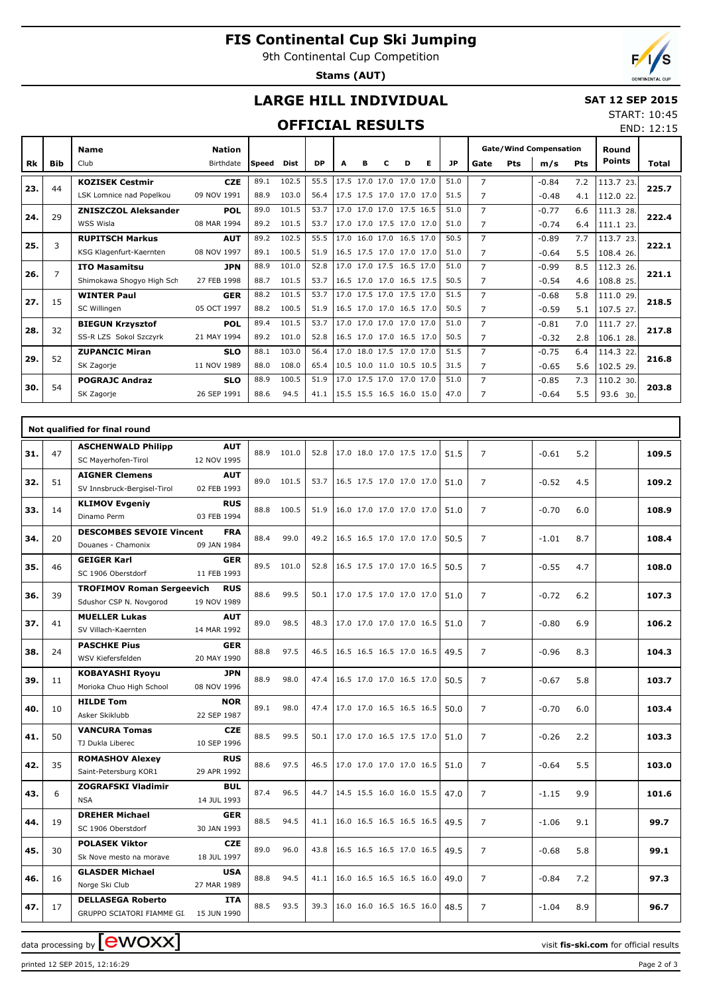# **FIS Continental Cup Ski Jumping**

9th Continental Cup Competition

**Stams (AUT)**



## **LARGE HILL INDIVIDUAL**

#### **SAT 12 SEP 2015** START: 10:45

### **OFFICIAL RESULTS**

|           |                |                             |                            |              | <b>OFFICIAL RESULTS</b> |           |   |   |   |   |                                                                                                                                                                                                                                                                                                                                                                                                                                                                                                                                                                                                                              |                                                                                                                                                                                                                                                     |                |         |         |            |                        | END: 12:15 |
|-----------|----------------|-----------------------------|----------------------------|--------------|-------------------------|-----------|---|---|---|---|------------------------------------------------------------------------------------------------------------------------------------------------------------------------------------------------------------------------------------------------------------------------------------------------------------------------------------------------------------------------------------------------------------------------------------------------------------------------------------------------------------------------------------------------------------------------------------------------------------------------------|-----------------------------------------------------------------------------------------------------------------------------------------------------------------------------------------------------------------------------------------------------|----------------|---------|---------|------------|------------------------|------------|
| <b>Rk</b> | <b>Bib</b>     | <b>Name</b><br>Club         | <b>Nation</b><br>Birthdate | <b>Speed</b> | <b>Dist</b>             | <b>DP</b> | A | в | C | D | Е                                                                                                                                                                                                                                                                                                                                                                                                                                                                                                                                                                                                                            | JP.                                                                                                                                                                                                                                                 | Gate           | Pts     |         | <b>Pts</b> | Round<br><b>Points</b> | Total      |
|           |                |                             |                            |              |                         |           |   |   |   |   |                                                                                                                                                                                                                                                                                                                                                                                                                                                                                                                                                                                                                              |                                                                                                                                                                                                                                                     |                |         |         |            |                        |            |
| 23.       | 44             | <b>KOZISEK Cestmir</b>      | <b>CZE</b>                 | 89.1         | 102.5                   | 55.5      |   |   |   |   |                                                                                                                                                                                                                                                                                                                                                                                                                                                                                                                                                                                                                              |                                                                                                                                                                                                                                                     |                |         |         |            | 113.7 23.              | 225.7      |
|           |                | LSK Lomnice nad Popelkou    | 09 NOV 1991                | 88.9         | 103.0                   | 56.4      |   |   |   |   |                                                                                                                                                                                                                                                                                                                                                                                                                                                                                                                                                                                                                              |                                                                                                                                                                                                                                                     |                |         |         | 4.1        | 112.0 22.              |            |
| 24.       | 29             | <b>ZNISZCZOL Aleksander</b> | <b>POL</b>                 | 89.0         | 101.5                   | 53.7      |   |   |   |   |                                                                                                                                                                                                                                                                                                                                                                                                                                                                                                                                                                                                                              | 51.0                                                                                                                                                                                                                                                | $\overline{7}$ |         | $-0.77$ | 6.6        | 111.3 28.              | 222.4      |
|           |                | WSS Wisla                   | 08 MAR 1994                | 89.2         | 101.5                   | 53.7      |   |   |   |   |                                                                                                                                                                                                                                                                                                                                                                                                                                                                                                                                                                                                                              | 51.0                                                                                                                                                                                                                                                | 7              |         | $-0.74$ | 6.4        | 111.123.               |            |
|           | 3              | <b>RUPITSCH Markus</b>      | <b>AUT</b>                 | 89.2         | 102.5                   | 55.5      |   |   |   |   |                                                                                                                                                                                                                                                                                                                                                                                                                                                                                                                                                                                                                              | 50.5                                                                                                                                                                                                                                                | $\overline{7}$ |         | $-0.89$ | 7.7        | 113.7 23.              | 222.1      |
| 25.       |                | KSG Klagenfurt-Kaernten     | 08 NOV 1997                | 89.1         | 100.5                   | 51.9      |   |   |   |   |                                                                                                                                                                                                                                                                                                                                                                                                                                                                                                                                                                                                                              | 51.0<br>7<br>$\overline{7}$<br>51.5<br>$\overline{7}$<br>51.0<br>51.0<br>7<br>50.5<br>7<br>$\overline{7}$<br>51.5<br>50.5<br>$\overline{7}$<br>7<br>51.0<br>50.5<br>7<br>$\overline{7}$<br>51.5<br>31.5<br>$\overline{7}$<br>7<br>51.0<br>7<br>47.0 |                | $-0.64$ | 5.5     | 108.4 26.  |                        |            |
|           | $\overline{7}$ | <b>ITO Masamitsu</b>        | <b>JPN</b>                 | 88.9         | 101.0                   | 52.8      |   |   |   |   |                                                                                                                                                                                                                                                                                                                                                                                                                                                                                                                                                                                                                              |                                                                                                                                                                                                                                                     |                |         | $-0.99$ | 8.5        | 112.3 26.              | 221.1      |
| 26.       |                | Shimokawa Shoqyo High Sch   | 27 FEB 1998                | 88.7         | 101.5                   | 53.7      |   |   |   |   |                                                                                                                                                                                                                                                                                                                                                                                                                                                                                                                                                                                                                              |                                                                                                                                                                                                                                                     |                |         | $-0.54$ | 4.6        | 108.8 25.              |            |
| 27.       | 15             | <b>WINTER Paul</b>          | <b>GER</b>                 | 88.2         | 101.5                   | 53.7      |   |   |   |   |                                                                                                                                                                                                                                                                                                                                                                                                                                                                                                                                                                                                                              |                                                                                                                                                                                                                                                     |                |         | $-0.68$ | 5.8        | 111.0 29.              | 218.5      |
|           |                | SC Willingen                | 05 OCT 1997                | 88.2         | 100.5                   | 51.9      |   |   |   |   | <b>Gate/Wind Compensation</b><br>m/s<br>17.5 17.0 17.0 17.0 17.0<br>7.2<br>$-0.84$<br>17.5 17.5 17.0 17.0 17.0<br>$-0.48$<br>17.0 17.0 17.0 17.5 16.5<br>17.0 17.0 17.5 17.0 17.0<br>17.0 16.0 17.0 16.5 17.0<br>16.5 17.5 17.0 17.0 17.0<br>17.0 17.0 17.5 16.5 17.0<br>16.5 17.0 17.0 16.5 17.5<br>17.0 17.5 17.0 17.5 17.0<br>16.5 17.0 17.0 16.5 17.0<br>$-0.59$<br>17.0 17.0 17.0 17.0 17.0<br>$-0.81$<br>16.5 17.0 17.0 16.5 17.0<br>$-0.32$<br>17.0 18.0 17.5 17.0 17.0<br>$-0.75$<br>6.4<br>10.5 10.0 11.0 10.5 10.5<br>$-0.65$<br>17.0 17.5 17.0 17.0 17.0<br>$-0.85$<br>7.3<br>15.5 15.5 16.5 16.0 15.0<br>$-0.64$ | 5.1                                                                                                                                                                                                                                                 | 107.5 27.      |         |         |            |                        |            |
|           | 32             | <b>BIEGUN Krzysztof</b>     | <b>POL</b>                 | 89.4         | 101.5                   | 53.7      |   |   |   |   |                                                                                                                                                                                                                                                                                                                                                                                                                                                                                                                                                                                                                              |                                                                                                                                                                                                                                                     |                |         |         | 7.0        | 111.7 27.              | 217.8      |
| 28.       |                | SS-R LZS Sokol Szczyrk      | 21 MAY 1994                | 89.2         | 101.0                   | 52.8      |   |   |   |   |                                                                                                                                                                                                                                                                                                                                                                                                                                                                                                                                                                                                                              |                                                                                                                                                                                                                                                     |                |         |         | 2.8        | 106.1 28.              |            |
|           | 52             | <b>ZUPANCIC Miran</b>       | <b>SLO</b>                 | 88.1         | 103.0                   | 56.4      |   |   |   |   |                                                                                                                                                                                                                                                                                                                                                                                                                                                                                                                                                                                                                              |                                                                                                                                                                                                                                                     |                |         |         |            | 114.3 22.              |            |
| 29.       |                | SK Zagorje                  | 11 NOV 1989                | 88.0         | 108.0                   | 65.4      |   |   |   |   |                                                                                                                                                                                                                                                                                                                                                                                                                                                                                                                                                                                                                              |                                                                                                                                                                                                                                                     |                |         |         | 5.6        | 102.5 29.              | 216.8      |
|           |                | <b>POGRAJC Andraz</b>       | <b>SLO</b>                 | 88.9         | 100.5                   | 51.9      |   |   |   |   |                                                                                                                                                                                                                                                                                                                                                                                                                                                                                                                                                                                                                              |                                                                                                                                                                                                                                                     |                |         |         |            | 110.2 30.              |            |
| 30.       | 54             | SK Zagorje                  | 26 SEP 1991                | 88.6         | 94.5                    | 41.1      |   |   |   |   |                                                                                                                                                                                                                                                                                                                                                                                                                                                                                                                                                                                                                              |                                                                                                                                                                                                                                                     |                |         |         | 5.5        | 93.6 30.               | 203.8      |
|           |                |                             |                            |              |                         |           |   |   |   |   |                                                                                                                                                                                                                                                                                                                                                                                                                                                                                                                                                                                                                              |                                                                                                                                                                                                                                                     |                |         |         |            |                        |            |

|     |    | Not qualified for final round                                      |                           |      |            |      |                          |      |                |                |       |
|-----|----|--------------------------------------------------------------------|---------------------------|------|------------|------|--------------------------|------|----------------|----------------|-------|
| 31. | 47 | <b>ASCHENWALD Philipp</b><br>SC Mayerhofen-Tirol                   | <b>AUT</b><br>12 NOV 1995 |      | 88.9 101.0 | 52.8 | 17.0 18.0 17.0 17.5 17.0 | 51.5 | $\overline{7}$ | 5.2<br>$-0.61$ | 109.5 |
| 32. | 51 | <b>AIGNER Clemens</b><br>SV Innsbruck-Bergisel-Tirol               | <b>AUT</b><br>02 FEB 1993 |      | 89.0 101.5 | 53.7 | 16.5 17.5 17.0 17.0 17.0 | 51.0 | $\overline{7}$ | 4.5<br>$-0.52$ | 109.2 |
| 33. | 14 | <b>KLIMOV Evgeniy</b><br>Dinamo Perm                               | <b>RUS</b><br>03 FEB 1994 | 88.8 | 100.5      | 51.9 | 16.0 17.0 17.0 17.0 17.0 | 51.0 | $\overline{7}$ | $-0.70$<br>6.0 | 108.9 |
| 34. | 20 | <b>DESCOMBES SEVOIE Vincent</b><br>Douanes - Chamonix              | <b>FRA</b><br>09 JAN 1984 | 88.4 | 99.0       | 49.2 | 16.5 16.5 17.0 17.0 17.0 | 50.5 | $\overline{7}$ | 8.7<br>$-1.01$ | 108.4 |
| 35. | 46 | <b>GEIGER Karl</b><br>SC 1906 Oberstdorf                           | <b>GER</b><br>11 FEB 1993 |      | 89.5 101.0 | 52.8 | 16.5 17.5 17.0 17.0 16.5 | 50.5 | $\overline{7}$ | $-0.55$<br>4.7 | 108.0 |
| 36. | 39 | <b>TROFIMOV Roman Sergeevich</b><br>Sdushor CSP N. Novgorod        | <b>RUS</b><br>19 NOV 1989 | 88.6 | 99.5       | 50.1 | 17.0 17.5 17.0 17.0 17.0 | 51.0 | $\overline{7}$ | $-0.72$<br>6.2 | 107.3 |
| 37. | 41 | <b>MUELLER Lukas</b><br>SV Villach-Kaernten                        | <b>AUT</b><br>14 MAR 1992 | 89.0 | 98.5       | 48.3 | 17.0 17.0 17.0 17.0 16.5 | 51.0 | $\overline{7}$ | $-0.80$<br>6.9 | 106.2 |
| 38. | 24 | <b>PASCHKE Pius</b><br>WSV Kiefersfelden                           | <b>GER</b><br>20 MAY 1990 | 88.8 | 97.5       | 46.5 | 16.5 16.5 16.5 17.0 16.5 | 49.5 | $\overline{7}$ | $-0.96$<br>8.3 | 104.3 |
| 39. | 11 | <b>KOBAYASHI Ryoyu</b><br>Morioka Chuo High School                 | <b>JPN</b><br>08 NOV 1996 | 88.9 | 98.0       | 47.4 | 16.5 17.0 17.0 16.5 17.0 | 50.5 | $\overline{7}$ | $-0.67$<br>5.8 | 103.7 |
| 40. | 10 | <b>HILDE Tom</b><br>Asker Skiklubb                                 | <b>NOR</b><br>22 SEP 1987 | 89.1 | 98.0       | 47.4 | 17.0 17.0 16.5 16.5 16.5 | 50.0 | $\overline{7}$ | $-0.70$<br>6.0 | 103.4 |
| 41. | 50 | <b>VANCURA Tomas</b><br>TJ Dukla Liberec                           | <b>CZE</b><br>10 SEP 1996 | 88.5 | 99.5       | 50.1 | 17.0 17.0 16.5 17.5 17.0 | 51.0 | $\overline{7}$ | 2.2<br>$-0.26$ | 103.3 |
| 42. | 35 | <b>ROMASHOV Alexey</b><br>Saint-Petersburg KOR1                    | <b>RUS</b><br>29 APR 1992 | 88.6 | 97.5       | 46.5 | 17.0 17.0 17.0 17.0 16.5 | 51.0 | $\overline{7}$ | 5.5<br>$-0.64$ | 103.0 |
| 43. | 6  | <b>ZOGRAFSKI Vladimir</b><br><b>NSA</b>                            | <b>BUL</b><br>14 JUL 1993 | 87.4 | 96.5       | 44.7 | 14.5 15.5 16.0 16.0 15.5 | 47.0 | $\overline{7}$ | 9.9<br>$-1.15$ | 101.6 |
| 44. | 19 | <b>DREHER Michael</b><br>SC 1906 Oberstdorf                        | <b>GER</b><br>30 JAN 1993 | 88.5 | 94.5       | 41.1 | 16.0 16.5 16.5 16.5 16.5 | 49.5 | $\overline{7}$ | $-1.06$<br>9.1 | 99.7  |
| 45. | 30 | <b>POLASEK Viktor</b><br>Sk Nove mesto na morave                   | <b>CZE</b><br>18 JUL 1997 | 89.0 | 96.0       | 43.8 | 16.5 16.5 16.5 17.0 16.5 | 49.5 | $\overline{7}$ | $-0.68$<br>5.8 | 99.1  |
| 46. | 16 | <b>GLASDER Michael</b><br>Norge Ski Club                           | <b>USA</b><br>27 MAR 1989 | 88.8 | 94.5       | 41.1 | 16.0 16.5 16.5 16.5 16.0 | 49.0 | $\overline{7}$ | $-0.84$<br>7.2 | 97.3  |
| 47. | 17 | <b>DELLASEGA Roberto</b><br>GRUPPO SCIATORI FIAMME GI. 15 JUN 1990 | <b>ITA</b>                | 88.5 | 93.5       | 39.3 | 16.0 16.0 16.5 16.5 16.0 | 48.5 | $\overline{7}$ | 8.9<br>$-1.04$ | 96.7  |

data processing by **CWOXX**  $\blacksquare$